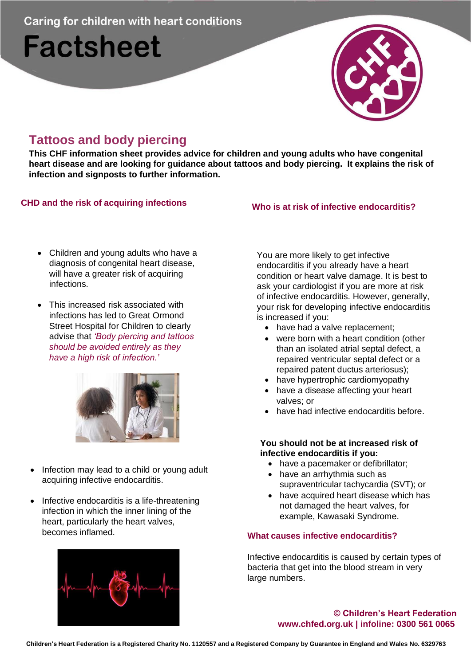**Caring for children with heart conditions** 

# **Factsheet**



## **Tattoos and body piercing**

**This CHF information sheet provides advice for children and young adults who have congenital heart disease and are looking for guidance about tattoos and body piercing. It explains the risk of infection and signposts to further information.**

### **CHD and the risk of acquiring infections Who is at risk of infective endocarditis?**

- Children and young adults who have a diagnosis of congenital heart disease, will have a greater risk of acquiring infections.
- This increased risk associated with infections has led to Great Ormond Street Hospital for Children to clearly advise that *'Body piercing and tattoos should be avoided entirely as they have a high risk of infection.'*



- Infection may lead to a child or young adult acquiring infective endocarditis.
- Infective endocarditis is a life-threatening infection in which the inner lining of the heart, particularly the heart valves, becomes inflamed.



You are more likely to get infective endocarditis if you already have a heart condition or heart valve damage. It is best to ask your cardiologist if you are more at risk of infective endocarditis. However, generally, your risk for developing infective endocarditis is increased if you:

- have had a valve replacement:
- were born with a heart condition (other than an isolated atrial septal defect, a repaired ventricular septal defect or a repaired patent ductus arteriosus);
- have hypertrophic cardiomyopathy
- have a disease affecting your heart valves; or
- have had infective endocarditis before.

#### **You should not be at increased risk of infective endocarditis if you:**

- have a pacemaker or defibrillator;
- have an arrhythmia such as supraventricular tachycardia (SVT); or
- have acquired heart disease which has not damaged the heart valves, for example, Kawasaki Syndrome.

#### **What causes infective endocarditis?**

Infective endocarditis is caused by certain types of bacteria that get into the blood stream in very large numbers.

#### **© Children's Heart Federation [www.chfed.org.uk](http://www.chfed.org.uk/) | infoline: 0300 561 0065**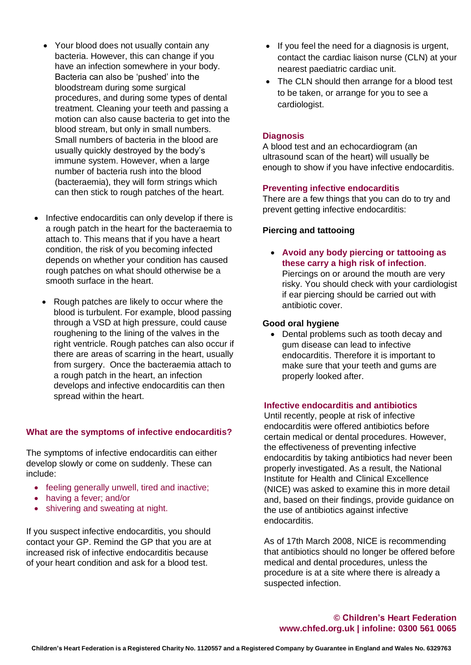- Your blood does not usually contain any bacteria. However, this can change if you have an infection somewhere in your body. Bacteria can also be 'pushed' into the bloodstream during some surgical procedures, and during some types of dental treatment. Cleaning your teeth and passing a motion can also cause bacteria to get into the blood stream, but only in small numbers. Small numbers of bacteria in the blood are usually quickly destroyed by the body's immune system. However, when a large number of bacteria rush into the blood (bacteraemia), they will form strings which can then stick to rough patches of the heart.
- Infective endocarditis can only develop if there is a rough patch in the heart for the bacteraemia to attach to. This means that if you have a heart condition, the risk of you becoming infected depends on whether your condition has caused rough patches on what should otherwise be a smooth surface in the heart.
	- Rough patches are likely to occur where the blood is turbulent. For example, blood passing through a VSD at high pressure, could cause roughening to the lining of the valves in the right ventricle. Rough patches can also occur if there are areas of scarring in the heart, usually from surgery. Once the bacteraemia attach to a rough patch in the heart, an infection develops and infective endocarditis can then spread within the heart.

#### **What are the symptoms of infective endocarditis?**

The symptoms of infective endocarditis can either develop slowly or come on suddenly. These can include:

- feeling generally unwell, tired and inactive;
- having a fever; and/or
- shivering and sweating at night.

If you suspect infective endocarditis, you should contact your GP. Remind the GP that you are at increased risk of infective endocarditis because of your heart condition and ask for a blood test.

- If you feel the need for a diagnosis is urgent, contact the cardiac liaison nurse (CLN) at your nearest paediatric cardiac unit.
- The CLN should then arrange for a blood test to be taken, or arrange for you to see a cardiologist.

#### **Diagnosis**

A blood test and an echocardiogram (an ultrasound scan of the heart) will usually be enough to show if you have infective endocarditis.

#### **Preventing infective endocarditis**

There are a few things that you can do to try and prevent getting infective endocarditis:

#### **Piercing and tattooing**

• **Avoid any body piercing or tattooing as these carry a high risk of infection**. Piercings on or around the mouth are very risky. You should check with your cardiologist if ear piercing should be carried out with antibiotic cover.

#### **Good oral hygiene**

• Dental problems such as tooth decay and gum disease can lead to infective endocarditis. Therefore it is important to make sure that your teeth and gums are properly looked after.

#### **Infective endocarditis and antibiotics**

Until recently, people at risk of infective endocarditis were offered antibiotics before certain medical or dental procedures. However, the effectiveness of preventing infective endocarditis by taking antibiotics had never been properly investigated. As a result, the National Institute for Health and Clinical Excellence (NICE) was asked to examine this in more detail and, based on their findings, provide guidance on the use of antibiotics against infective endocarditis.

As of 17th March 2008, NICE is recommending that antibiotics should no longer be offered before medical and dental procedures, unless the procedure is at a site where there is already a suspected infection.

**© Children's Heart Federation [www.chfed.org.uk](http://www.chfed.org.uk/) | infoline: 0300 561 0065**